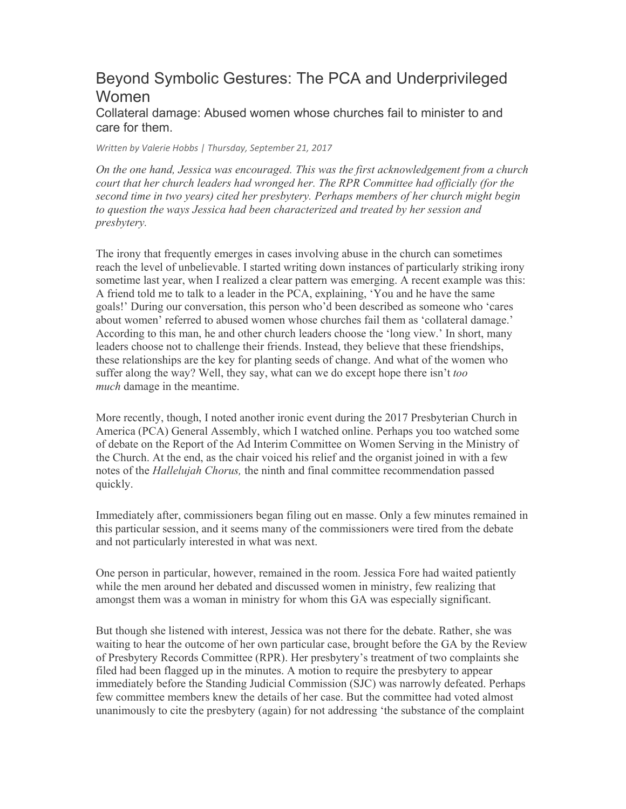## Beyond Symbolic Gestures: The PCA and Underprivileged Women

Collateral damage: Abused women whose churches fail to minister to and care for them.

*Written by Valerie Hobbs | Thursday, September 21, 2017*

*On the one hand, Jessica was encouraged. This was the first acknowledgement from a church court that her church leaders had wronged her. The RPR Committee had officially (for the second time in two years) cited her presbytery. Perhaps members of her church might begin to question the ways Jessica had been characterized and treated by her session and presbytery.*

The irony that frequently emerges in cases involving abuse in the church can sometimes reach the level of unbelievable. I started writing down instances of particularly striking irony sometime last year, when I realized a clear pattern was emerging. A recent example was this: A friend told me to talk to a leader in the PCA, explaining, 'You and he have the same goals!' During our conversation, this person who'd been described as someone who 'cares about women' referred to abused women whose churches fail them as 'collateral damage.' According to this man, he and other church leaders choose the 'long view.' In short, many leaders choose not to challenge their friends. Instead, they believe that these friendships, these relationships are the key for planting seeds of change. And what of the women who suffer along the way? Well, they say, what can we do except hope there isn't *too much* damage in the meantime.

More recently, though, I noted another ironic event during the 2017 Presbyterian Church in America (PCA) General Assembly, which I watched online. Perhaps you too watched some of debate on the Report of the Ad Interim Committee on Women Serving in the Ministry of the Church. At the end, as the chair voiced his relief and the organist joined in with a few notes of the *Hallelujah Chorus,* the ninth and final committee recommendation passed quickly.

Immediately after, commissioners began filing out en masse. Only a few minutes remained in this particular session, and it seems many of the commissioners were tired from the debate and not particularly interested in what was next.

One person in particular, however, remained in the room. Jessica Fore had waited patiently while the men around her debated and discussed women in ministry, few realizing that amongst them was a woman in ministry for whom this GA was especially significant.

But though she listened with interest, Jessica was not there for the debate. Rather, she was waiting to hear the outcome of her own particular case, brought before the GA by the Review of Presbytery Records Committee (RPR). Her presbytery's treatment of two complaints she filed had been flagged up in the minutes. A motion to require the presbytery to appear immediately before the Standing Judicial Commission (SJC) was narrowly defeated. Perhaps few committee members knew the details of her case. But the committee had voted almost unanimously to cite the presbytery (again) for not addressing 'the substance of the complaint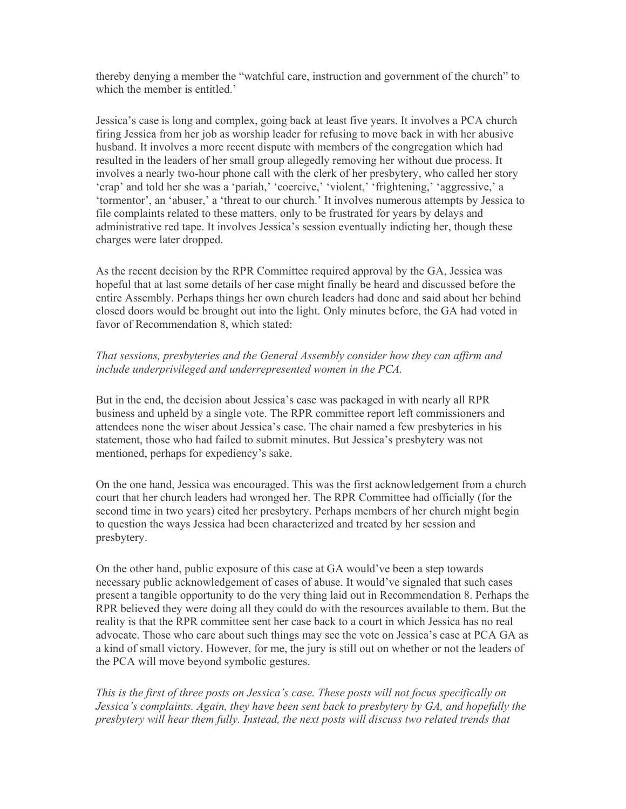thereby denying a member the "watchful care, instruction and government of the church" to which the member is entitled.'

Jessica's case is long and complex, going back at least five years. It involves a PCA church firing Jessica from her job as worship leader for refusing to move back in with her abusive husband. It involves a more recent dispute with members of the congregation which had resulted in the leaders of her small group allegedly removing her without due process. It involves a nearly two-hour phone call with the clerk of her presbytery, who called her story 'crap' and told her she was a 'pariah,' 'coercive,' 'violent,' 'frightening,' 'aggressive,' a 'tormentor', an 'abuser,' a 'threat to our church.' It involves numerous attempts by Jessica to file complaints related to these matters, only to be frustrated for years by delays and administrative red tape. It involves Jessica's session eventually indicting her, though these charges were later dropped.

As the recent decision by the RPR Committee required approval by the GA, Jessica was hopeful that at last some details of her case might finally be heard and discussed before the entire Assembly. Perhaps things her own church leaders had done and said about her behind closed doors would be brought out into the light. Only minutes before, the GA had voted in favor of Recommendation 8, which stated:

## *That sessions, presbyteries and the General Assembly consider how they can affirm and include underprivileged and underrepresented women in the PCA.*

But in the end, the decision about Jessica's case was packaged in with nearly all RPR business and upheld by a single vote. The RPR committee report left commissioners and attendees none the wiser about Jessica's case. The chair named a few presbyteries in his statement, those who had failed to submit minutes. But Jessica's presbytery was not mentioned, perhaps for expediency's sake.

On the one hand, Jessica was encouraged. This was the first acknowledgement from a church court that her church leaders had wronged her. The RPR Committee had officially (for the second time in two years) cited her presbytery. Perhaps members of her church might begin to question the ways Jessica had been characterized and treated by her session and presbytery.

On the other hand, public exposure of this case at GA would've been a step towards necessary public acknowledgement of cases of abuse. It would've signaled that such cases present a tangible opportunity to do the very thing laid out in Recommendation 8. Perhaps the RPR believed they were doing all they could do with the resources available to them. But the reality is that the RPR committee sent her case back to a court in which Jessica has no real advocate. Those who care about such things may see the vote on Jessica's case at PCA GA as a kind of small victory. However, for me, the jury is still out on whether or not the leaders of the PCA will move beyond symbolic gestures.

*This is the first of three posts on Jessica's case. These posts will not focus specifically on Jessica's complaints. Again, they have been sent back to presbytery by GA, and hopefully the presbytery will hear them fully. Instead, the next posts will discuss two related trends that*